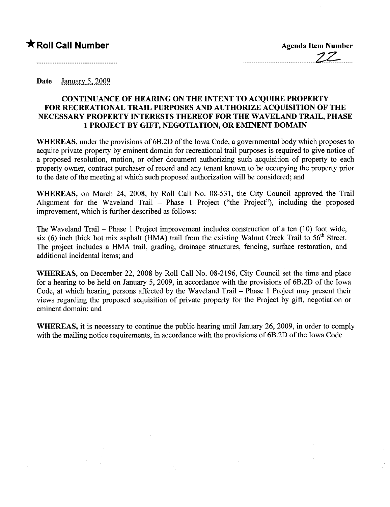## **★ Roll Call Number** Agenda Item Number

Date January 5, 2009

## CONTINUANCE OF HEARING ON THE INTENT TO ACQUIRE PROPERTY FOR RECREATIONAL TRAIL PURPOSES AND AUTHORIZE ACQUISITION OF THE NECESSARY PROPERTY INTERESTS THEREOF FOR THE WAVELAND TRAIL, PHASE 1 PROJECT BY GIFT, NEGOTIATION, OR EMINENT DOMAIN

WHEREAS, under the provisions of 6B.2D of the Iowa Code, a governmental body which proposes to acquire private property by eminent domain for recreational trail purposes is required to give notice of a proposed resolution, motion, or other document authorizing such acquisition of property to each property owner, contract purchaser of record and any tenant known to be occupying the property prior to the date of the meeting at which such proposed authorization wil be considered; and

WHEREAS, on March 24, 2008, by Roll Call No. 08-531, the City Council approved the Trail Alignment for the Waveland Trail - Phase 1 Project ("the Project"), including the proposed improvement, which is further described as follows:

The Waveland Trail – Phase 1 Project improvement includes construction of a ten (10) foot wide, six (6) inch thick hot mix asphalt (HMA) trail from the existing Walnut Creek Trail to  $56<sup>th</sup>$  Street. The project includes a HMA trail, grading, drainage structures, fencing, surface restoration, and additional incidental items; and

WHEREAS, on December 22, 2008 by Roll Call No. 08-2196, City Council set the time and place for a hearing to be held on January 5, 2009, in accordance with the provisions of 6B.2D of the Iowa Code, at which hearing persons affected by the Waveland Trail – Phase 1 Project may present their views regarding the proposed acquisition of private property for the Project by gift, negotiation or eminent domain; and

WHEREAS, it is necessary to continue the public hearing until January 26, 2009, in order to comply with the mailing notice requirements, in accordance with the provisions of 6B.2D of the Iowa Code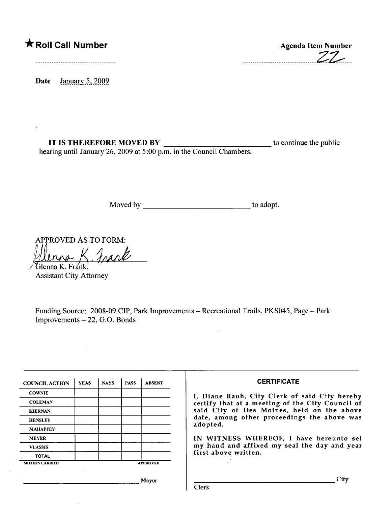## \* Roll Call Number

Agenda Item Number .........................................Z~....

Date January 5, 2009.

IT IS THEREFORE MOVED BY  $\qquad$  to continue the public hearing until January 26, 2009 at 5:00 p.m. in the Council Chambers.

Moved by to adopt.

APPROVED AS TO FORM:

Hlenna K. Frank Assistant City Attorney

Funding Source: 2008-09 CIP, Park Improvements - Recreational Trails, PKS045, Page - Park  $Improvements - 22, G.O. Bonds$ 

 $\bar{z}$ 

| <b>COWNIE</b>                                                         |  |  |  |                 | I, Diane Rauh, City Clerk of said City hereby                                                                                                 |
|-----------------------------------------------------------------------|--|--|--|-----------------|-----------------------------------------------------------------------------------------------------------------------------------------------|
| <b>COLEMAN</b><br><b>KIERNAN</b><br><b>HENSLEY</b><br><b>MAHAFFEY</b> |  |  |  |                 |                                                                                                                                               |
|                                                                       |  |  |  |                 | certify that at a meeting of the City Council of<br>said City of Des Moines, held on the above<br>date, among other proceedings the above was |
|                                                                       |  |  |  |                 |                                                                                                                                               |
|                                                                       |  |  |  |                 |                                                                                                                                               |
|                                                                       |  |  |  |                 | adopted.                                                                                                                                      |
| <b>MEYER</b>                                                          |  |  |  |                 | IN WITNESS WHEREOF, I have hereunto set                                                                                                       |
| <b>VLASSIS</b>                                                        |  |  |  |                 | my hand and affixed my seal the day and year                                                                                                  |
| <b>TOTAL</b>                                                          |  |  |  |                 | first above written.                                                                                                                          |
| <b>MOTION CARRIED</b>                                                 |  |  |  | <b>APPROVED</b> |                                                                                                                                               |
|                                                                       |  |  |  |                 |                                                                                                                                               |
|                                                                       |  |  |  | Mayor           | City<br>Clerk                                                                                                                                 |